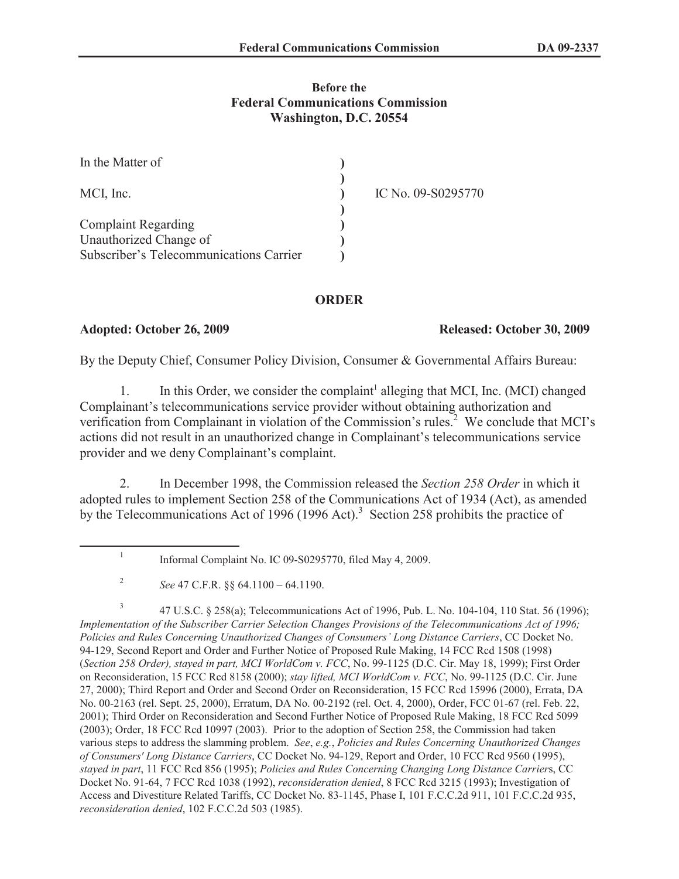# **Before the Federal Communications Commission Washington, D.C. 20554**

| In the Matter of                        |                    |
|-----------------------------------------|--------------------|
| MCI, Inc.                               | IC No. 09-S0295770 |
|                                         |                    |
| <b>Complaint Regarding</b>              |                    |
| Unauthorized Change of                  |                    |
| Subscriber's Telecommunications Carrier |                    |

# **ORDER**

### **Adopted: October 26, 2009 Released: October 30, 2009**

By the Deputy Chief, Consumer Policy Division, Consumer & Governmental Affairs Bureau:

1. In this Order, we consider the complaint<sup>1</sup> alleging that MCI, Inc. (MCI) changed Complainant's telecommunications service provider without obtaining authorization and verification from Complainant in violation of the Commission's rules.<sup>2</sup> We conclude that MCI's actions did not result in an unauthorized change in Complainant's telecommunications service provider and we deny Complainant's complaint.

2. In December 1998, the Commission released the *Section 258 Order* in which it adopted rules to implement Section 258 of the Communications Act of 1934 (Act), as amended by the Telecommunications Act of 1996 (1996 Act).<sup>3</sup> Section 258 prohibits the practice of

3 47 U.S.C. § 258(a); Telecommunications Act of 1996, Pub. L. No. 104-104, 110 Stat. 56 (1996); *Implementation of the Subscriber Carrier Selection Changes Provisions of the Telecommunications Act of 1996; Policies and Rules Concerning Unauthorized Changes of Consumers' Long Distance Carriers*, CC Docket No. 94-129, Second Report and Order and Further Notice of Proposed Rule Making, 14 FCC Rcd 1508 (1998) (*Section 258 Order), stayed in part, MCI WorldCom v. FCC*, No. 99-1125 (D.C. Cir. May 18, 1999); First Order on Reconsideration, 15 FCC Rcd 8158 (2000); *stay lifted, MCI WorldCom v. FCC*, No. 99-1125 (D.C. Cir. June 27, 2000); Third Report and Order and Second Order on Reconsideration, 15 FCC Rcd 15996 (2000), Errata, DA No. 00-2163 (rel. Sept. 25, 2000), Erratum, DA No. 00-2192 (rel. Oct. 4, 2000), Order, FCC 01-67 (rel. Feb. 22, 2001); Third Order on Reconsideration and Second Further Notice of Proposed Rule Making, 18 FCC Rcd 5099 (2003); Order, 18 FCC Rcd 10997 (2003). Prior to the adoption of Section 258, the Commission had taken various steps to address the slamming problem. *See*, *e.g.*, *Policies and Rules Concerning Unauthorized Changes of Consumers' Long Distance Carriers*, CC Docket No. 94-129, Report and Order, 10 FCC Rcd 9560 (1995), *stayed in part*, 11 FCC Rcd 856 (1995); *Policies and Rules Concerning Changing Long Distance Carrier*s, CC Docket No. 91-64, 7 FCC Rcd 1038 (1992), *reconsideration denied*, 8 FCC Rcd 3215 (1993); Investigation of Access and Divestiture Related Tariffs, CC Docket No. 83-1145, Phase I, 101 F.C.C.2d 911, 101 F.C.C.2d 935, *reconsideration denied*, 102 F.C.C.2d 503 (1985).

<sup>1</sup> Informal Complaint No. IC 09-S0295770, filed May 4, 2009.

<sup>2</sup> *See* 47 C.F.R. §§ 64.1100 – 64.1190.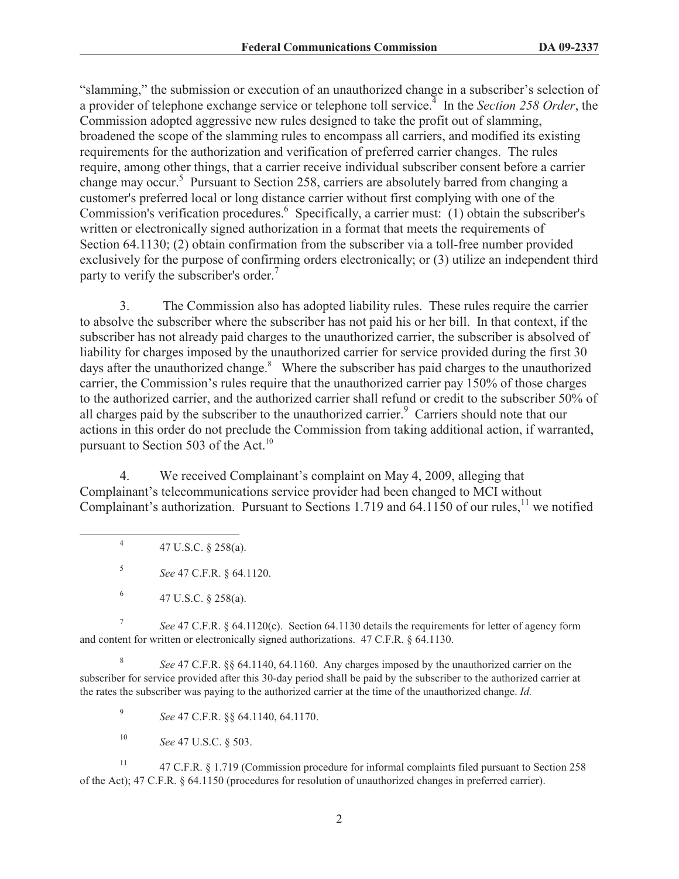"slamming," the submission or execution of an unauthorized change in a subscriber's selection of a provider of telephone exchange service or telephone toll service.<sup>4</sup> In the *Section 258 Order*, the Commission adopted aggressive new rules designed to take the profit out of slamming, broadened the scope of the slamming rules to encompass all carriers, and modified its existing requirements for the authorization and verification of preferred carrier changes. The rules require, among other things, that a carrier receive individual subscriber consent before a carrier change may occur.<sup>5</sup> Pursuant to Section 258, carriers are absolutely barred from changing a customer's preferred local or long distance carrier without first complying with one of the Commission's verification procedures.<sup>6</sup> Specifically, a carrier must: (1) obtain the subscriber's written or electronically signed authorization in a format that meets the requirements of Section 64.1130; (2) obtain confirmation from the subscriber via a toll-free number provided exclusively for the purpose of confirming orders electronically; or (3) utilize an independent third party to verify the subscriber's order.<sup>7</sup>

3. The Commission also has adopted liability rules. These rules require the carrier to absolve the subscriber where the subscriber has not paid his or her bill. In that context, if the subscriber has not already paid charges to the unauthorized carrier, the subscriber is absolved of liability for charges imposed by the unauthorized carrier for service provided during the first 30 days after the unauthorized change.<sup>8</sup> Where the subscriber has paid charges to the unauthorized carrier, the Commission's rules require that the unauthorized carrier pay 150% of those charges to the authorized carrier, and the authorized carrier shall refund or credit to the subscriber 50% of all charges paid by the subscriber to the unauthorized carrier.<sup>9</sup> Carriers should note that our actions in this order do not preclude the Commission from taking additional action, if warranted, pursuant to Section 503 of the Act.<sup>10</sup>

4. We received Complainant's complaint on May 4, 2009, alleging that Complainant's telecommunications service provider had been changed to MCI without Complainant's authorization. Pursuant to Sections 1.719 and 64.1150 of our rules, $^{11}$  we notified

4 47 U.S.C. § 258(a).

5 *See* 47 C.F.R. § 64.1120.

7 *See* 47 C.F.R. § 64.1120(c). Section 64.1130 details the requirements for letter of agency form and content for written or electronically signed authorizations. 47 C.F.R. § 64.1130.

8 *See* 47 C.F.R. §§ 64.1140, 64.1160. Any charges imposed by the unauthorized carrier on the subscriber for service provided after this 30-day period shall be paid by the subscriber to the authorized carrier at the rates the subscriber was paying to the authorized carrier at the time of the unauthorized change. *Id.*

9 *See* 47 C.F.R. §§ 64.1140, 64.1170.

<sup>10</sup> *See* 47 U.S.C. § 503.

<sup>11</sup> 47 C.F.R. § 1.719 (Commission procedure for informal complaints filed pursuant to Section 258 of the Act); 47 C.F.R. § 64.1150 (procedures for resolution of unauthorized changes in preferred carrier).

<sup>6</sup> 47 U.S.C. § 258(a).